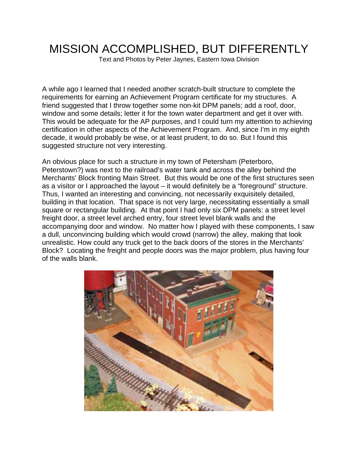## MISSION ACCOMPLISHED, BUT DIFFERENTLY

Text and Photos by Peter Jaynes, Eastern Iowa Division

A while ago I learned that I needed another scratch-built structure to complete the requirements for earning an Achievement Program certificate for my structures. A friend suggested that I throw together some non-kit DPM panels; add a roof, door, window and some details; letter it for the town water department and get it over with. This would be adequate for the AP purposes, and I could turn my attention to achieving certification in other aspects of the Achievement Program. And, since I'm in my eighth decade, it would probably be wise, or at least prudent, to do so. But I found this suggested structure not very interesting.

An obvious place for such a structure in my town of Petersham (Peterboro, Peterstown?) was next to the railroad's water tank and across the alley behind the Merchants' Block fronting Main Street. But this would be one of the first structures seen as a visitor or I approached the layout – it would definitely be a "foreground" structure. Thus, I wanted an interesting and convincing, not necessarily exquisitely detailed, building in that location. That space is not very large, necessitating essentially a small square or rectangular building. At that point I had only six DPM panels: a street level freight door, a street level arched entry, four street level blank walls and the accompanying door and window. No matter how I played with these components, I saw a dull, unconvincing building which would crowd (narrow) the alley, making that look unrealistic. How could any truck get to the back doors of the stores in the Merchants' Block? Locating the freight and people doors was the major problem, plus having four of the walls blank.

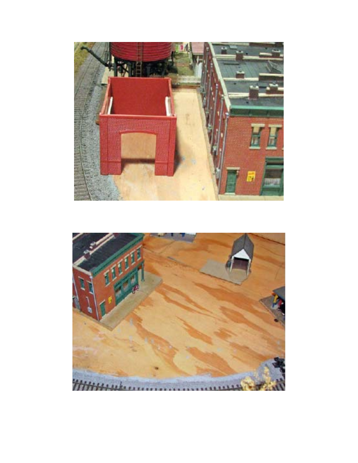

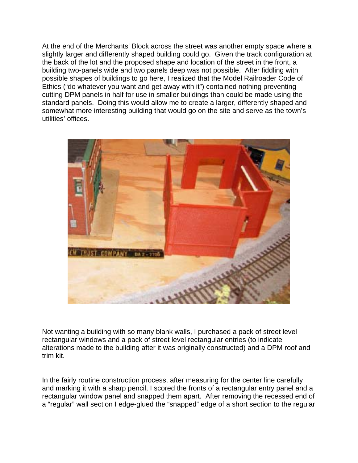At the end of the Merchants' Block across the street was another empty space where a slightly larger and differently shaped building could go. Given the track configuration at the back of the lot and the proposed shape and location of the street in the front, a building two-panels wide and two panels deep was not possible. After fiddling with possible shapes of buildings to go here, I realized that the Model Railroader Code of Ethics ("do whatever you want and get away with it") contained nothing preventing cutting DPM panels in half for use in smaller buildings than could be made using the standard panels. Doing this would allow me to create a larger, differently shaped and somewhat more interesting building that would go on the site and serve as the town's utilities' offices.



Not wanting a building with so many blank walls, I purchased a pack of street level rectangular windows and a pack of street level rectangular entries (to indicate alterations made to the building after it was originally constructed) and a DPM roof and trim kit.

In the fairly routine construction process, after measuring for the center line carefully and marking it with a sharp pencil, I scored the fronts of a rectangular entry panel and a rectangular window panel and snapped them apart. After removing the recessed end of a "regular" wall section I edge-glued the "snapped" edge of a short section to the regular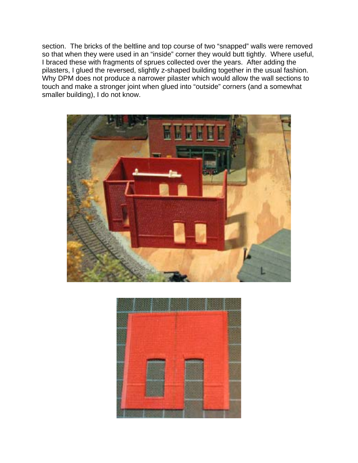section. The bricks of the beltline and top course of two "snapped" walls were removed so that when they were used in an "inside" corner they would butt tightly. Where useful, I braced these with fragments of sprues collected over the years. After adding the pilasters, I glued the reversed, slightly z-shaped building together in the usual fashion. Why DPM does not produce a narrower pilaster which would allow the wall sections to touch and make a stronger joint when glued into "outside" corners (and a somewhat smaller building), I do not know.



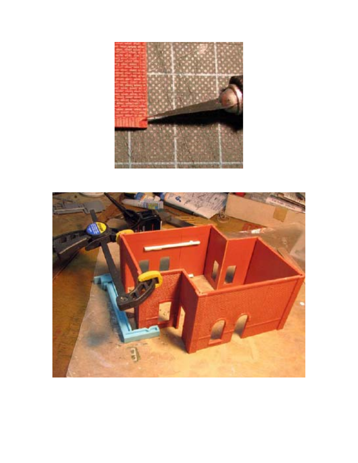

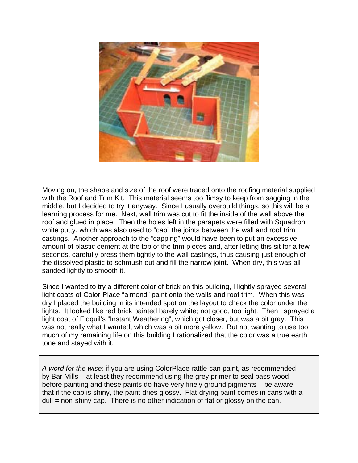

Moving on, the shape and size of the roof were traced onto the roofing material supplied with the Roof and Trim Kit. This material seems too flimsy to keep from sagging in the middle, but I decided to try it anyway. Since I usually overbuild things, so this will be a learning process for me. Next, wall trim was cut to fit the inside of the wall above the roof and glued in place. Then the holes left in the parapets were filled with Squadron white putty, which was also used to "cap" the joints between the wall and roof trim castings. Another approach to the "capping" would have been to put an excessive amount of plastic cement at the top of the trim pieces and, after letting this sit for a few seconds, carefully press them tightly to the wall castings, thus causing just enough of the dissolved plastic to schmush out and fill the narrow joint. When dry, this was all sanded lightly to smooth it.

Since I wanted to try a different color of brick on this building, I lightly sprayed several light coats of Color-Place "almond" paint onto the walls and roof trim. When this was dry I placed the building in its intended spot on the layout to check the color under the lights. It looked like red brick painted barely white; not good, too light. Then I sprayed a light coat of Floquil's "Instant Weathering", which got closer, but was a bit gray. This was not really what I wanted, which was a bit more yellow. But not wanting to use too much of my remaining life on this building I rationalized that the color was a true earth tone and stayed with it.

*A word for the wise:* if you are using ColorPlace rattle-can paint, as recommended by Bar Mills – at least they recommend using the grey primer to seal bass wood before painting and these paints do have very finely ground pigments – be aware that if the cap is shiny, the paint dries glossy. Flat-drying paint comes in cans with a dull = non-shiny cap. There is no other indication of flat or glossy on the can.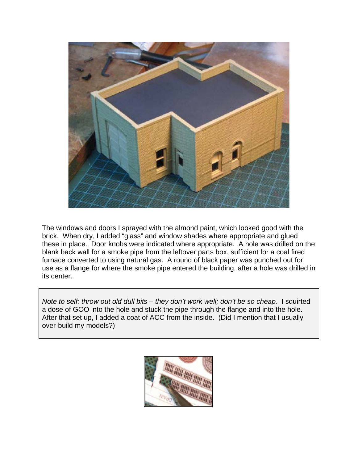

The windows and doors I sprayed with the almond paint, which looked good with the brick. When dry, I added "glass" and window shades where appropriate and glued these in place. Door knobs were indicated where appropriate. A hole was drilled on the blank back wall for a smoke pipe from the leftover parts box, sufficient for a coal fired furnace converted to using natural gas. A round of black paper was punched out for use as a flange for where the smoke pipe entered the building, after a hole was drilled in its center.

*Note to self: throw out old dull bits – they don't work well; don't be so cheap.* I squirted a dose of GOO into the hole and stuck the pipe through the flange and into the hole. After that set up, I added a coat of ACC from the inside. (Did I mention that I usually over-build my models?)

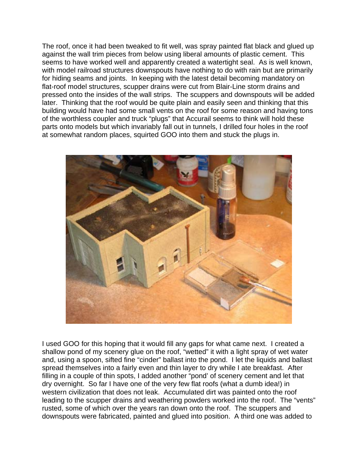The roof, once it had been tweaked to fit well, was spray painted flat black and glued up against the wall trim pieces from below using liberal amounts of plastic cement. This seems to have worked well and apparently created a watertight seal. As is well known, with model railroad structures downspouts have nothing to do with rain but are primarily for hiding seams and joints. In keeping with the latest detail becoming mandatory on flat-roof model structures, scupper drains were cut from Blair-Line storm drains and pressed onto the insides of the wall strips. The scuppers and downspouts will be added later. Thinking that the roof would be quite plain and easily seen and thinking that this building would have had some small vents on the roof for some reason and having tons of the worthless coupler and truck "plugs" that Accurail seems to think will hold these parts onto models but which invariably fall out in tunnels, I drilled four holes in the roof at somewhat random places, squirted GOO into them and stuck the plugs in.



I used GOO for this hoping that it would fill any gaps for what came next. I created a shallow pond of my scenery glue on the roof, "wetted" it with a light spray of wet water and, using a spoon, sifted fine "cinder" ballast into the pond. I let the liquids and ballast spread themselves into a fairly even and thin layer to dry while I ate breakfast. After filling in a couple of thin spots, I added another "pond' of scenery cement and let that dry overnight. So far I have one of the very few flat roofs (what a dumb idea!) in western civilization that does not leak. Accumulated dirt was painted onto the roof leading to the scupper drains and weathering powders worked into the roof. The "vents" rusted, some of which over the years ran down onto the roof. The scuppers and downspouts were fabricated, painted and glued into position. A third one was added to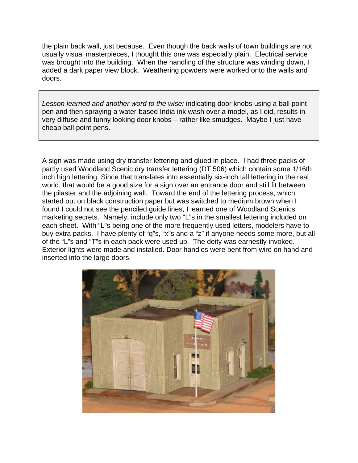the plain back wall, just because. Even though the back walls of town buildings are not usually visual masterpieces, I thought this one was especially plain. Electrical service was brought into the building. When the handling of the structure was winding down, I added a dark paper view block. Weathering powders were worked onto the walls and doors.

*Lesson learned and another word to the wise:* indicating door knobs using a ball point pen and then spraying a water-based India ink wash over a model, as I did, results in very diffuse and funny looking door knobs – rather like smudges. Maybe I just have cheap ball point pens.

A sign was made using dry transfer lettering and glued in place. I had three packs of partly used Woodland Scenic dry transfer lettering (DT 506) which contain some 1/16th inch high lettering. Since that translates into essentially six-inch tall lettering in the real world, that would be a good size for a sign over an entrance door and still fit between the pilaster and the adjoining wall. Toward the end of the lettering process, which started out on black construction paper but was switched to medium brown when I found I could not see the penciled guide lines, I learned one of Woodland Scenics marketing secrets. Namely, include only two "L"s in the smallest lettering included on each sheet. With "L"s being one of the more frequently used letters, modelers have to buy extra packs. I have plenty of "q"s, "x"s and a "z" if anyone needs some more, but all of the "L"s and "T"s in each pack were used up. The deity was earnestly invoked. Exterior lights were made and installed. Door handles were bent from wire on hand and inserted into the large doors.

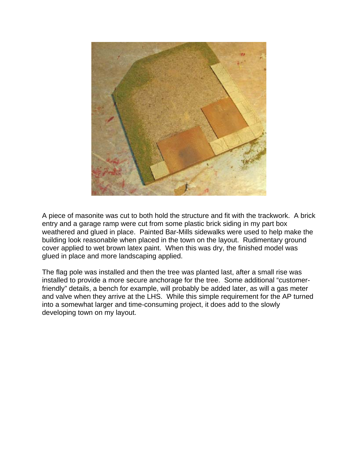

A piece of masonite was cut to both hold the structure and fit with the trackwork. A brick entry and a garage ramp were cut from some plastic brick siding in my part box weathered and glued in place. Painted Bar-Mills sidewalks were used to help make the building look reasonable when placed in the town on the layout. Rudimentary ground cover applied to wet brown latex paint. When this was dry, the finished model was glued in place and more landscaping applied.

The flag pole was installed and then the tree was planted last, after a small rise was installed to provide a more secure anchorage for the tree. Some additional "customerfriendly" details, a bench for example, will probably be added later, as will a gas meter and valve when they arrive at the LHS. While this simple requirement for the AP turned into a somewhat larger and time-consuming project, it does add to the slowly developing town on my layout.